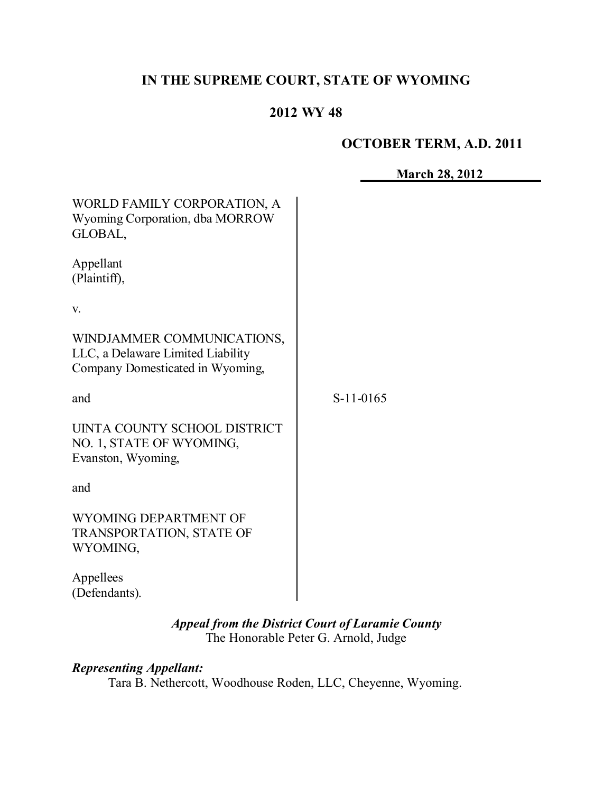# **IN THE SUPREME COURT, STATE OF WYOMING**

# **2012 WY 48**

#### **OCTOBER TERM, A.D. 2011**

| WORLD FAMILY CORPORATION, A<br>Wyoming Corporation, dba MORROW<br>GLOBAL,                           |             |
|-----------------------------------------------------------------------------------------------------|-------------|
| Appellant<br>(Plaintiff),                                                                           |             |
| V.                                                                                                  |             |
| WINDJAMMER COMMUNICATIONS,<br>LLC, a Delaware Limited Liability<br>Company Domesticated in Wyoming, |             |
| and                                                                                                 | $S-11-0165$ |
| UINTA COUNTY SCHOOL DISTRICT<br>NO. 1, STATE OF WYOMING,<br>Evanston, Wyoming,                      |             |
| and                                                                                                 |             |
| WYOMING DEPARTMENT OF<br><b>TRANSPORTATION, STATE OF</b><br>WYOMING,                                |             |
| Appellees<br>(Defendants).                                                                          |             |

*Appeal from the District Court of Laramie County* The Honorable Peter G. Arnold, Judge

# *Representing Appellant:*

Tara B. Nethercott, Woodhouse Roden, LLC, Cheyenne, Wyoming.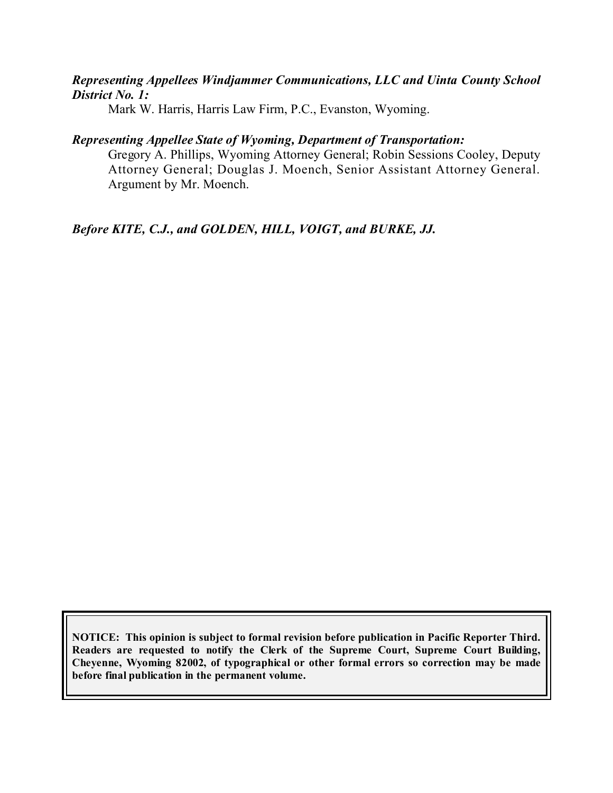## *Representing Appellees Windjammer Communications, LLC and Uinta County School District No. 1:*

Mark W. Harris, Harris Law Firm, P.C., Evanston, Wyoming.

## *Representing Appellee State of Wyoming, Department of Transportation:*

Gregory A. Phillips, Wyoming Attorney General; Robin Sessions Cooley, Deputy Attorney General; Douglas J. Moench, Senior Assistant Attorney General. Argument by Mr. Moench.

*Before KITE, C.J., and GOLDEN, HILL, VOIGT, and BURKE, JJ.*

**NOTICE: This opinion is subject to formal revision before publication in Pacific Reporter Third. Readers are requested to notify the Clerk of the Supreme Court, Supreme Court Building, Cheyenne, Wyoming 82002, of typographical or other formal errors so correction may be made before final publication in the permanent volume.**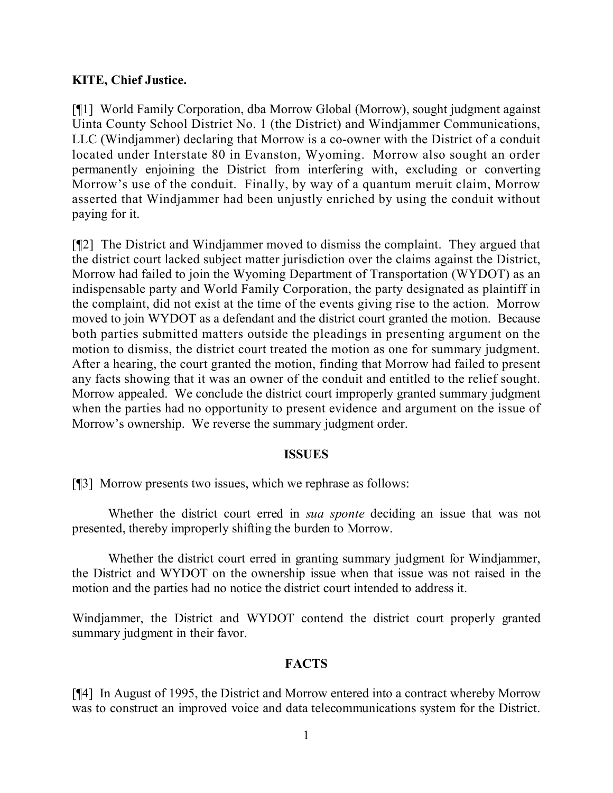## **KITE, Chief Justice.**

[¶1] World Family Corporation, dba Morrow Global (Morrow), sought judgment against Uinta County School District No. 1 (the District) and Windjammer Communications, LLC (Windjammer) declaring that Morrow is a co-owner with the District of a conduit located under Interstate 80 in Evanston, Wyoming. Morrow also sought an order permanently enjoining the District from interfering with, excluding or converting Morrow's use of the conduit. Finally, by way of a quantum meruit claim, Morrow asserted that Windjammer had been unjustly enriched by using the conduit without paying for it.

[¶2] The District and Windjammer moved to dismiss the complaint. They argued that the district court lacked subject matter jurisdiction over the claims against the District, Morrow had failed to join the Wyoming Department of Transportation (WYDOT) as an indispensable party and World Family Corporation, the party designated as plaintiff in the complaint, did not exist at the time of the events giving rise to the action. Morrow moved to join WYDOT as a defendant and the district court granted the motion. Because both parties submitted matters outside the pleadings in presenting argument on the motion to dismiss, the district court treated the motion as one for summary judgment. After a hearing, the court granted the motion, finding that Morrow had failed to present any facts showing that it was an owner of the conduit and entitled to the relief sought. Morrow appealed. We conclude the district court improperly granted summary judgment when the parties had no opportunity to present evidence and argument on the issue of Morrow's ownership. We reverse the summary judgment order.

#### **ISSUES**

[¶3] Morrow presents two issues, which we rephrase as follows:

Whether the district court erred in *sua sponte* deciding an issue that was not presented, thereby improperly shifting the burden to Morrow.

Whether the district court erred in granting summary judgment for Windjammer, the District and WYDOT on the ownership issue when that issue was not raised in the motion and the parties had no notice the district court intended to address it.

Windjammer, the District and WYDOT contend the district court properly granted summary judgment in their favor.

#### **FACTS**

[¶4] In August of 1995, the District and Morrow entered into a contract whereby Morrow was to construct an improved voice and data telecommunications system for the District.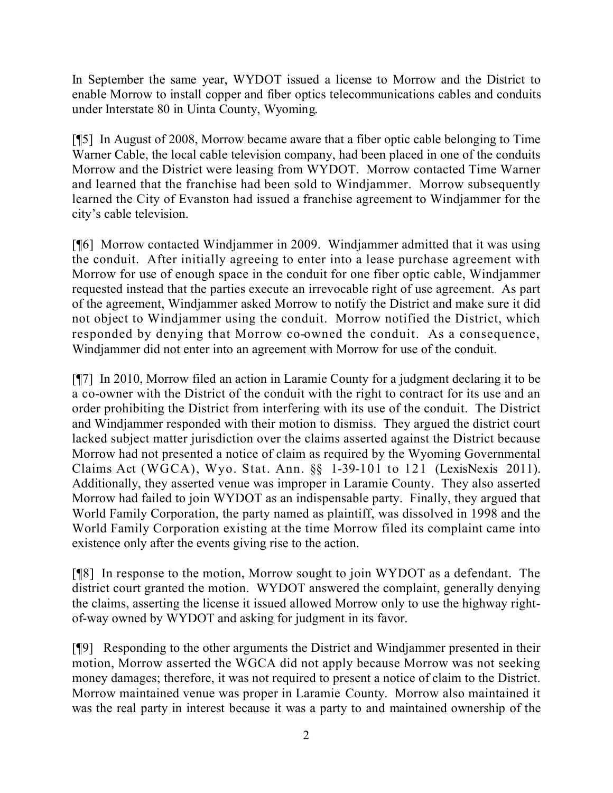In September the same year, WYDOT issued a license to Morrow and the District to enable Morrow to install copper and fiber optics telecommunications cables and conduits under Interstate 80 in Uinta County, Wyoming.

[¶5] In August of 2008, Morrow became aware that a fiber optic cable belonging to Time Warner Cable, the local cable television company, had been placed in one of the conduits Morrow and the District were leasing from WYDOT. Morrow contacted Time Warner and learned that the franchise had been sold to Windjammer. Morrow subsequently learned the City of Evanston had issued a franchise agreement to Windjammer for the city's cable television.

[¶6] Morrow contacted Windjammer in 2009. Windjammer admitted that it was using the conduit. After initially agreeing to enter into a lease purchase agreement with Morrow for use of enough space in the conduit for one fiber optic cable, Windjammer requested instead that the parties execute an irrevocable right of use agreement. As part of the agreement, Windjammer asked Morrow to notify the District and make sure it did not object to Windjammer using the conduit. Morrow notified the District, which responded by denying that Morrow co-owned the conduit. As a consequence, Windjammer did not enter into an agreement with Morrow for use of the conduit.

[¶7] In 2010, Morrow filed an action in Laramie County for a judgment declaring it to be a co-owner with the District of the conduit with the right to contract for its use and an order prohibiting the District from interfering with its use of the conduit. The District and Windjammer responded with their motion to dismiss. They argued the district court lacked subject matter jurisdiction over the claims asserted against the District because Morrow had not presented a notice of claim as required by the Wyoming Governmental Claims Act (WGCA), Wyo. Stat. Ann. §§ 1-39-101 to 121 (LexisNexis 2011). Additionally, they asserted venue was improper in Laramie County. They also asserted Morrow had failed to join WYDOT as an indispensable party. Finally, they argued that World Family Corporation, the party named as plaintiff, was dissolved in 1998 and the World Family Corporation existing at the time Morrow filed its complaint came into existence only after the events giving rise to the action.

[¶8] In response to the motion, Morrow sought to join WYDOT as a defendant. The district court granted the motion. WYDOT answered the complaint, generally denying the claims, asserting the license it issued allowed Morrow only to use the highway rightof-way owned by WYDOT and asking for judgment in its favor.

[¶9] Responding to the other arguments the District and Windjammer presented in their motion, Morrow asserted the WGCA did not apply because Morrow was not seeking money damages; therefore, it was not required to present a notice of claim to the District. Morrow maintained venue was proper in Laramie County. Morrow also maintained it was the real party in interest because it was a party to and maintained ownership of the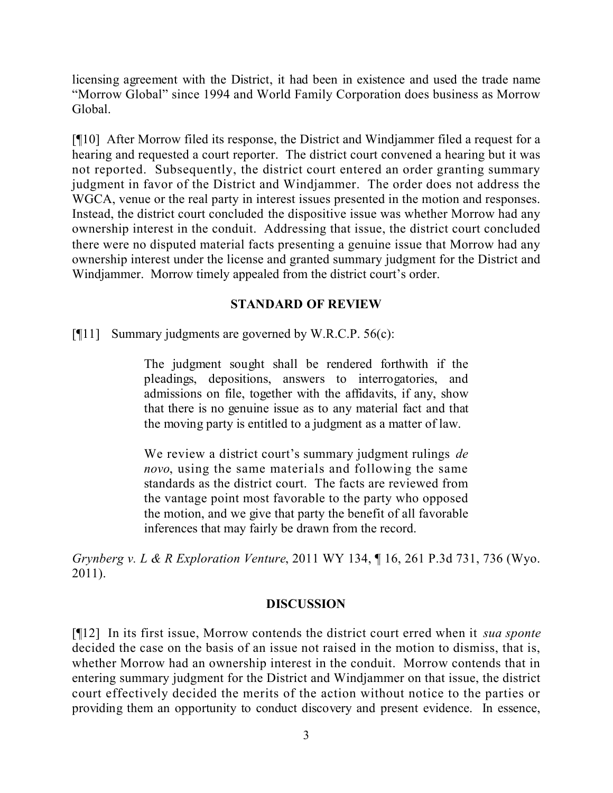licensing agreement with the District, it had been in existence and used the trade name "Morrow Global" since 1994 and World Family Corporation does business as Morrow Global.

[¶10] After Morrow filed its response, the District and Windjammer filed a request for a hearing and requested a court reporter. The district court convened a hearing but it was not reported. Subsequently, the district court entered an order granting summary judgment in favor of the District and Windjammer. The order does not address the WGCA, venue or the real party in interest issues presented in the motion and responses. Instead, the district court concluded the dispositive issue was whether Morrow had any ownership interest in the conduit. Addressing that issue, the district court concluded there were no disputed material facts presenting a genuine issue that Morrow had any ownership interest under the license and granted summary judgment for the District and Windjammer. Morrow timely appealed from the district court's order.

#### **STANDARD OF REVIEW**

[¶11] Summary judgments are governed by W.R.C.P. 56(c):

The judgment sought shall be rendered forthwith if the pleadings, depositions, answers to interrogatories, and admissions on file, together with the affidavits, if any, show that there is no genuine issue as to any material fact and that the moving party is entitled to a judgment as a matter of law.

We review a district court's summary judgment rulings *de novo*, using the same materials and following the same standards as the district court. The facts are reviewed from the vantage point most favorable to the party who opposed the motion, and we give that party the benefit of all favorable inferences that may fairly be drawn from the record.

*Grynberg v. L & R Exploration Venture*, 2011 WY 134, ¶ 16, 261 P.3d 731, 736 (Wyo. 2011).

#### **DISCUSSION**

[¶12] In its first issue, Morrow contends the district court erred when it *sua sponte* decided the case on the basis of an issue not raised in the motion to dismiss, that is, whether Morrow had an ownership interest in the conduit. Morrow contends that in entering summary judgment for the District and Windjammer on that issue, the district court effectively decided the merits of the action without notice to the parties or providing them an opportunity to conduct discovery and present evidence. In essence,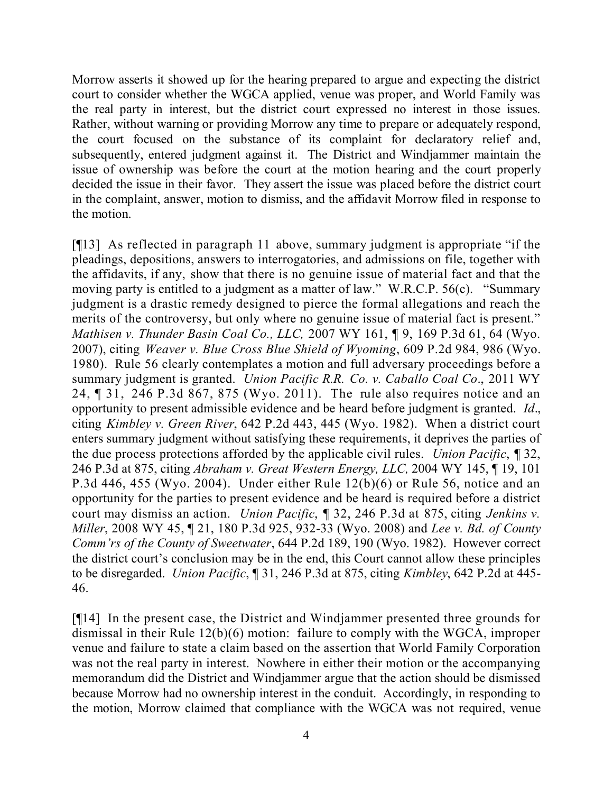Morrow asserts it showed up for the hearing prepared to argue and expecting the district court to consider whether the WGCA applied, venue was proper, and World Family was the real party in interest, but the district court expressed no interest in those issues. Rather, without warning or providing Morrow any time to prepare or adequately respond, the court focused on the substance of its complaint for declaratory relief and, subsequently, entered judgment against it. The District and Windjammer maintain the issue of ownership was before the court at the motion hearing and the court properly decided the issue in their favor. They assert the issue was placed before the district court in the complaint, answer, motion to dismiss, and the affidavit Morrow filed in response to the motion.

[¶13] As reflected in paragraph 11 above, summary judgment is appropriate "if the pleadings, depositions, answers to interrogatories, and admissions on file, together with the affidavits, if any, show that there is no genuine issue of material fact and that the moving party is entitled to a judgment as a matter of law." W.R.C.P. 56(c). "Summary judgment is a drastic remedy designed to pierce the formal allegations and reach the merits of the controversy, but only where no genuine issue of material fact is present." *Mathisen v. Thunder Basin Coal Co., LLC,* 2007 WY 161, ¶ 9, 169 P.3d 61, 64 (Wyo. 2007), citing *Weaver v. Blue Cross Blue Shield of Wyoming*, 609 P.2d 984, 986 (Wyo. 1980). Rule 56 clearly contemplates a motion and full adversary proceedings before a summary judgment is granted. *Union Pacific R.R. Co. v. Caballo Coal Co*., 2011 WY 24, ¶ 31, 246 P.3d 867, 875 (Wyo. 2011). The rule also requires notice and an opportunity to present admissible evidence and be heard before judgment is granted. *Id*., citing *Kimbley v. Green River*, 642 P.2d 443, 445 (Wyo. 1982). When a district court enters summary judgment without satisfying these requirements, it deprives the parties of the due process protections afforded by the applicable civil rules. *Union Pacific*, ¶ 32, 246 P.3d at 875, citing *Abraham v. Great Western Energy, LLC,* 2004 WY 145, ¶ 19, 101 P.3d 446, 455 (Wyo. 2004). Under either Rule 12(b)(6) or Rule 56, notice and an opportunity for the parties to present evidence and be heard is required before a district court may dismiss an action. *Union Pacific*, ¶ 32, 246 P.3d at 875, citing *Jenkins v. Miller*, 2008 WY 45, ¶ 21, 180 P.3d 925, 932-33 (Wyo. 2008) and *Lee v. Bd. of County Comm'rs of the County of Sweetwater*, 644 P.2d 189, 190 (Wyo. 1982). However correct the district court's conclusion may be in the end, this Court cannot allow these principles to be disregarded. *Union Pacific*, ¶ 31, 246 P.3d at 875, citing *Kimbley*, 642 P.2d at 445- 46.

[¶14] In the present case, the District and Windjammer presented three grounds for dismissal in their Rule 12(b)(6) motion: failure to comply with the WGCA, improper venue and failure to state a claim based on the assertion that World Family Corporation was not the real party in interest. Nowhere in either their motion or the accompanying memorandum did the District and Windjammer argue that the action should be dismissed because Morrow had no ownership interest in the conduit. Accordingly, in responding to the motion, Morrow claimed that compliance with the WGCA was not required, venue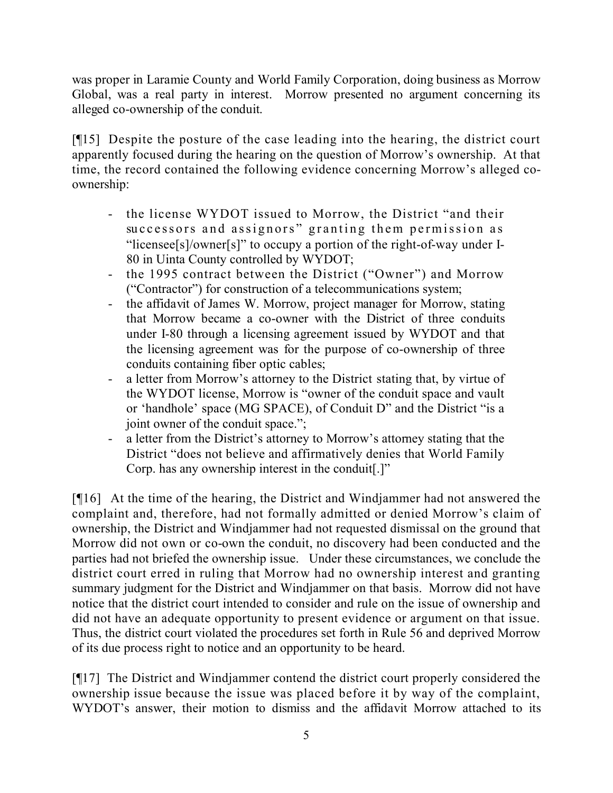was proper in Laramie County and World Family Corporation, doing business as Morrow Global, was a real party in interest. Morrow presented no argument concerning its alleged co-ownership of the conduit.

[¶15] Despite the posture of the case leading into the hearing, the district court apparently focused during the hearing on the question of Morrow's ownership. At that time, the record contained the following evidence concerning Morrow's alleged coownership:

- the license WYDOT issued to Morrow, the District "and their successors and assignors" granting them permission as "licensee[s]/owner[s]" to occupy a portion of the right-of-way under I-80 in Uinta County controlled by WYDOT;
- the 1995 contract between the District ("Owner") and Morrow ("Contractor") for construction of a telecommunications system;
- the affidavit of James W. Morrow, project manager for Morrow, stating that Morrow became a co-owner with the District of three conduits under I-80 through a licensing agreement issued by WYDOT and that the licensing agreement was for the purpose of co-ownership of three conduits containing fiber optic cables;
- a letter from Morrow's attorney to the District stating that, by virtue of the WYDOT license, Morrow is "owner of the conduit space and vault or 'handhole' space (MG SPACE), of Conduit D" and the District "is a joint owner of the conduit space.";
- a letter from the District's attorney to Morrow's attorney stating that the District "does not believe and affirmatively denies that World Family Corp. has any ownership interest in the conduit[.]"

[¶16] At the time of the hearing, the District and Windjammer had not answered the complaint and, therefore, had not formally admitted or denied Morrow's claim of ownership, the District and Windjammer had not requested dismissal on the ground that Morrow did not own or co-own the conduit, no discovery had been conducted and the parties had not briefed the ownership issue. Under these circumstances, we conclude the district court erred in ruling that Morrow had no ownership interest and granting summary judgment for the District and Windjammer on that basis. Morrow did not have notice that the district court intended to consider and rule on the issue of ownership and did not have an adequate opportunity to present evidence or argument on that issue. Thus, the district court violated the procedures set forth in Rule 56 and deprived Morrow of its due process right to notice and an opportunity to be heard.

[¶17] The District and Windjammer contend the district court properly considered the ownership issue because the issue was placed before it by way of the complaint, WYDOT's answer, their motion to dismiss and the affidavit Morrow attached to its